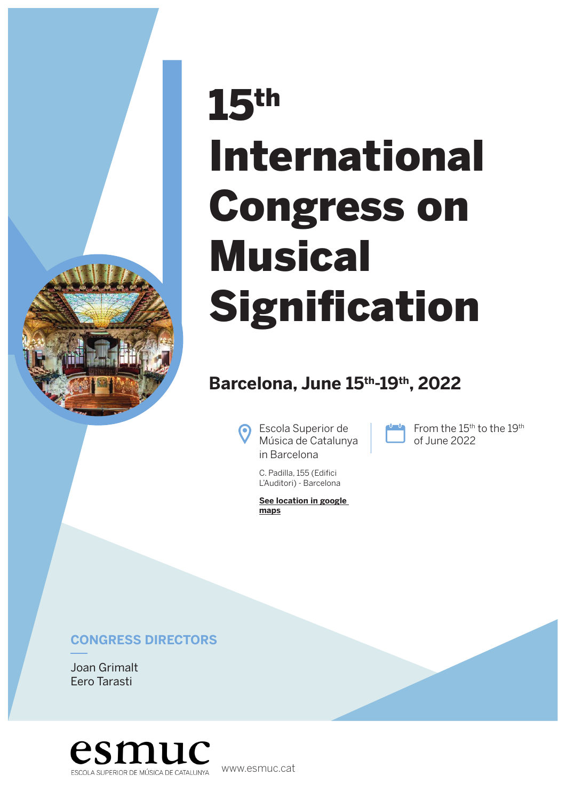

# 15th International Congress on **Musical Signification**

### **Barcelona, June 15th-19th, 2022**

Escola Superior de Música de Catalunya in Barcelona

C. Padilla, 155 (Edifici L'Auditori) - Barcelona

**[See location in google](https://www.google.es/maps/place/Escuela+Superior+de+M%C3%BAsica+de+Catalu%C3%B1a+(ESMUC)/@41.3986037,2.1831844,17z/data=!3m1!4b1!4m5!3m4!1s0x12a4a31fc88db1cb:0x28885ba4adcd488d!8m2!3d41.3986037!4d2.1853731)  maps**

From the 15<sup>th</sup> to the 19<sup>th</sup> of June 2022

### **CONGRESS DIRECTORS**

Joan Grimalt Eero Tarasti



www.esmuc.cat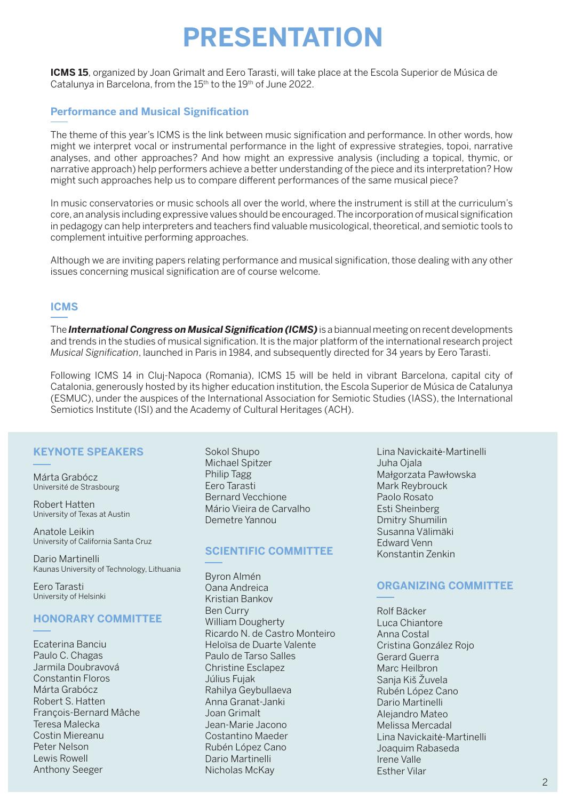# **PRESENTATION**

**ICMS 15**, organized by Joan Grimalt and Eero Tarasti, will take place at the Escola Superior de Música de Catalunya in Barcelona, from the 15<sup>th</sup> to the 19<sup>th</sup> of June 2022.

### **Performance and Musical Signification**

The theme of this year's ICMS is the link between music signification and performance. In other words, how might we interpret vocal or instrumental performance in the light of expressive strategies, topoi, narrative analyses, and other approaches? And how might an expressive analysis (including a topical, thymic, or narrative approach) help performers achieve a better understanding of the piece and its interpretation? How might such approaches help us to compare different performances of the same musical piece?

In music conservatories or music schools all over the world, where the instrument is still at the curriculum's core, an analysis including expressive values should be encouraged. The incorporation of musical signification in pedagogy can help interpreters and teachers find valuable musicological, theoretical, and semiotic tools to complement intuitive performing approaches.

Although we are inviting papers relating performance and musical signification, those dealing with any other issues concerning musical signification are of course welcome.

#### **ICMS**

The *International Congress on Musical Signification (ICMS)* is a biannual meeting on recent developments and trends in the studies of musical signification. It is the major platform of the international research project *Musical Signification*, launched in Paris in 1984, and subsequently directed for 34 years by Eero Tarasti.

Following ICMS 14 in Cluj-Napoca (Romania), ICMS 15 will be held in vibrant Barcelona, capital city of Catalonia, generously hosted by its higher education institution, the Escola Superior de Música de Catalunya (ESMUC), under the auspices of the International Association for Semiotic Studies (IASS), the International Semiotics Institute (ISI) and the Academy of Cultural Heritages (ACH).

#### **KEYNOTE SPEAKERS**

Márta Grabócz Université de Strasbourg

Robert Hatten University of Texas at Austin

Anatole Leikin University of California Santa Cruz

Dario Martinelli Kaunas University of Technology, Lithuania

Eero Tarasti University of Helsinki

#### **HONORARY COMMITTEE**

Ecaterina Banciu Paulo C. Chagas Jarmila Doubravová Constantin Floros Márta Grabócz Robert S. Hatten François-Bernard Mâche Teresa Malecka Costin Miereanu Peter Nelson Lewis Rowell Anthony Seeger

Sokol Shupo Michael Spitzer Philip Tagg Eero Tarasti Bernard Vecchione Mário Vieira de Carvalho Demetre Yannou

#### **SCIENTIFIC COMMITTEE**

Byron Almén Oana Andreica Kristian Bankov Ben Curry William Dougherty Ricardo N. de Castro Monteiro Heloïsa de Duarte Valente Paulo de Tarso Salles Christine Esclapez Július Fujak Rahilya Geybullaeva Anna Granat-Janki Joan Grimalt Jean-Marie Jacono Costantino Maeder Rubén López Cano Dario Martinelli Nicholas McKay

Lina Navickaitė-Martinelli Juha Ojala Małgorzata Pawłowska Mark Reybrouck Paolo Rosato Esti Sheinberg Dmitry Shumilin Susanna Välimäki Edward Venn Konstantin Zenkin

#### **ORGANIZING COMMITTEE**

Rolf Bäcker Luca Chiantore Anna Costal Cristina González Rojo Gerard Guerra Marc Heilbron Sanja Kiš Žuvela Rubén López Cano Dario Martinelli Alejandro Mateo Melissa Mercadal Lina Navickaitė-Martinelli Joaquim Rabaseda Irene Valle Esther Vilar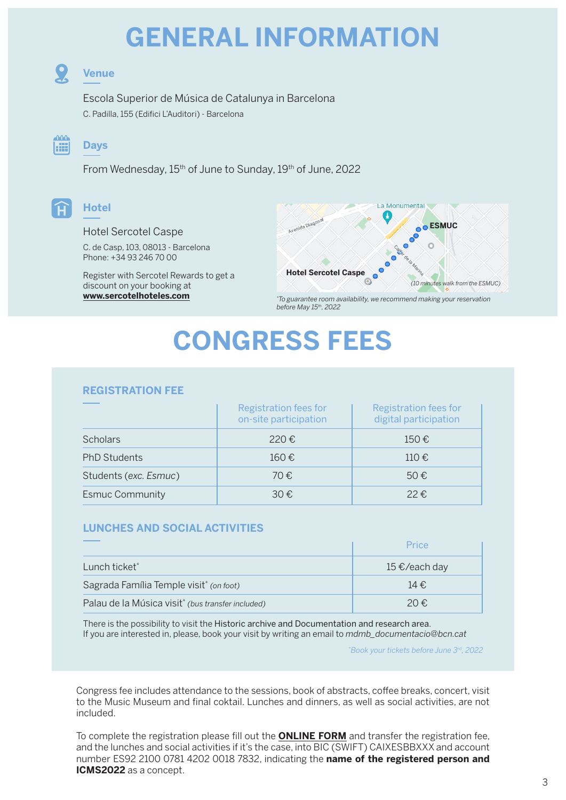# **GENERAL INFORMATION**



### **Venue**

Escola Superior de Música de Catalunya in Barcelona C. Padilla, 155 (Edifici L'Auditori) - Barcelona



### **Days**

From Wednesday, 15<sup>th</sup> of June to Sunday, 19<sup>th</sup> of June, 2022



### Hotel Sercotel Caspe

C. de Casp, 103, 08013 - Barcelona Phone: +34 93 246 70 00

Register with Sercotel Rewards to get a discount on your booking at **[www.sercotelhoteles.com](https://www.sercotelhotels.co.uk/hotel-sercotel-caspe/?_ga=2.177066149.1456952123.1649404813-1220075909.1649404813)**



*\* To guarantee room availability, we recommend making your reservation before May 15th, 2022*

# **CONGRESS FEES**

#### **REGISTRATION FEE**

|                        | Registration fees for<br>on-site participation | Registration fees for<br>digital participation |
|------------------------|------------------------------------------------|------------------------------------------------|
| <b>Scholars</b>        | 220€                                           | $150 \text{ } \in$                             |
| <b>PhD Students</b>    | $160 \text{ } \in$                             | $110 \text{ } \in$                             |
| Students (exc. Esmuc)  | 70€                                            | $50 \text{ } \in$                              |
| <b>Esmuc Community</b> | $30 \text{ } \in$                              | $22 \epsilon$                                  |

#### **LUNCHES AND SOCIAL ACTIVITIES**

|                                                               | Price         |
|---------------------------------------------------------------|---------------|
| Lunch ticket*                                                 | 15 €/each day |
| Sagrada Família Temple visit <sup>*</sup> (on foot)           | 14€           |
| Palau de la Música visit <sup>*</sup> (bus transfer included) | 20€.          |

There is the possibility to visit the Historic archive and Documentation and research area. If you are interested in, please, book your visit by writing an email to *mdmb\_documentacio@bcn.cat* 

*\* Book your tickets before June 3rd, 2022*

Congress fee includes attendance to the sessions, book of abstracts, coffee breaks, concert, visit to the Music Museum and final coktail. Lunches and dinners, as well as social activities, are not included.

To complete the registration please fill out the **[ONLINE FORM](https://rosaroda.com/icms15-registration-and-abstracts-submit-form/)** and transfer the registration fee, and the lunches and social activities if it's the case, into BIC (SWIFT) CAIXESBBXXX and account number ES92 2100 0781 4202 0018 7832, indicating the **name of the registered person and ICMS2022** as a concept.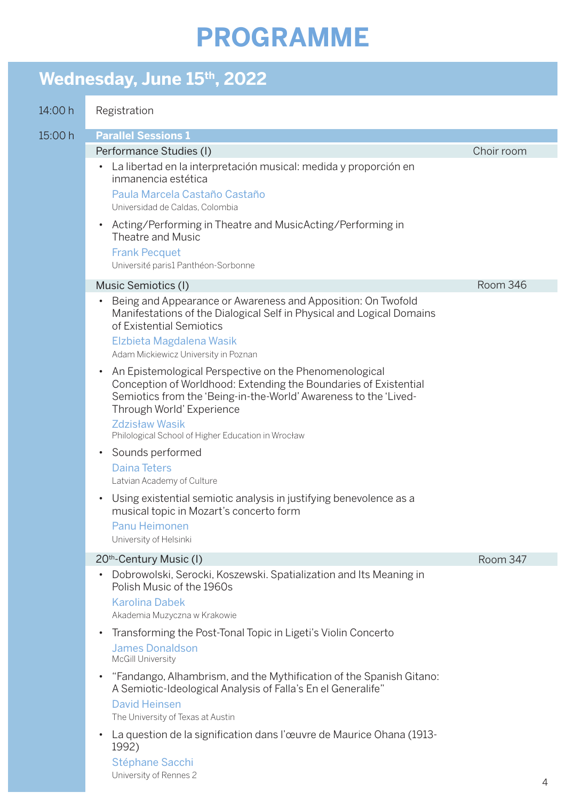# **PROGRAMME**

## Wednesday, June 15<sup>th</sup>, 2022

| 14:00 h | Registration                                                                                                                                                                                                                                                                                                            |            |
|---------|-------------------------------------------------------------------------------------------------------------------------------------------------------------------------------------------------------------------------------------------------------------------------------------------------------------------------|------------|
| 15:00 h | <b>Parallel Sessions 1</b>                                                                                                                                                                                                                                                                                              |            |
|         | Performance Studies (I)                                                                                                                                                                                                                                                                                                 | Choir room |
|         | La libertad en la interpretación musical: medida y proporción en<br>$\bullet$<br>inmanencia estética                                                                                                                                                                                                                    |            |
|         | Paula Marcela Castaño Castaño<br>Universidad de Caldas, Colombia                                                                                                                                                                                                                                                        |            |
|         | Acting/Performing in Theatre and MusicActing/Performing in<br>$\bullet$<br>Theatre and Music                                                                                                                                                                                                                            |            |
|         | <b>Frank Pecquet</b><br>Université paris1 Panthéon-Sorbonne                                                                                                                                                                                                                                                             |            |
|         | Music Semiotics (I)                                                                                                                                                                                                                                                                                                     | Room 346   |
|         | Being and Appearance or Awareness and Apposition: On Twofold<br>$\bullet$<br>Manifestations of the Dialogical Self in Physical and Logical Domains<br>of Existential Semiotics<br>Elzbieta Magdalena Wasik<br>Adam Mickiewicz University in Poznan                                                                      |            |
|         | An Epistemological Perspective on the Phenomenological<br>$\bullet$<br>Conception of Worldhood: Extending the Boundaries of Existential<br>Semiotics from the 'Being-in-the-World' Awareness to the 'Lived-<br>Through World' Experience<br><b>Zdzisław Wasik</b><br>Philological School of Higher Education in Wrocław |            |
|         | Sounds performed<br>$\bullet$                                                                                                                                                                                                                                                                                           |            |
|         | <b>Daina Teters</b><br>Latvian Academy of Culture                                                                                                                                                                                                                                                                       |            |
|         | Using existential semiotic analysis in justifying benevolence as a<br>$\bullet$<br>musical topic in Mozart's concerto form                                                                                                                                                                                              |            |
|         | Panu Heimonen<br>University of Helsinki                                                                                                                                                                                                                                                                                 |            |
|         | 20 <sup>th</sup> -Century Music (I)                                                                                                                                                                                                                                                                                     | Room 347   |
|         | Dobrowolski, Serocki, Koszewski. Spatialization and Its Meaning in<br>$\bullet$<br>Polish Music of the 1960s                                                                                                                                                                                                            |            |
|         | <b>Karolina Dabek</b><br>Akademia Muzyczna w Krakowie                                                                                                                                                                                                                                                                   |            |
|         | Transforming the Post-Tonal Topic in Ligeti's Violin Concerto<br>$\bullet$<br><b>James Donaldson</b><br>McGill University                                                                                                                                                                                               |            |
|         | "Fandango, Alhambrism, and the Mythification of the Spanish Gitano:<br>$\bullet$<br>A Semiotic-Ideological Analysis of Falla's En el Generalife"<br><b>David Heinsen</b><br>The University of Texas at Austin                                                                                                           |            |
|         | La question de la signification dans l'œuvre de Maurice Ohana (1913-<br>$\bullet$<br>1992)<br>Stéphane Sacchi                                                                                                                                                                                                           |            |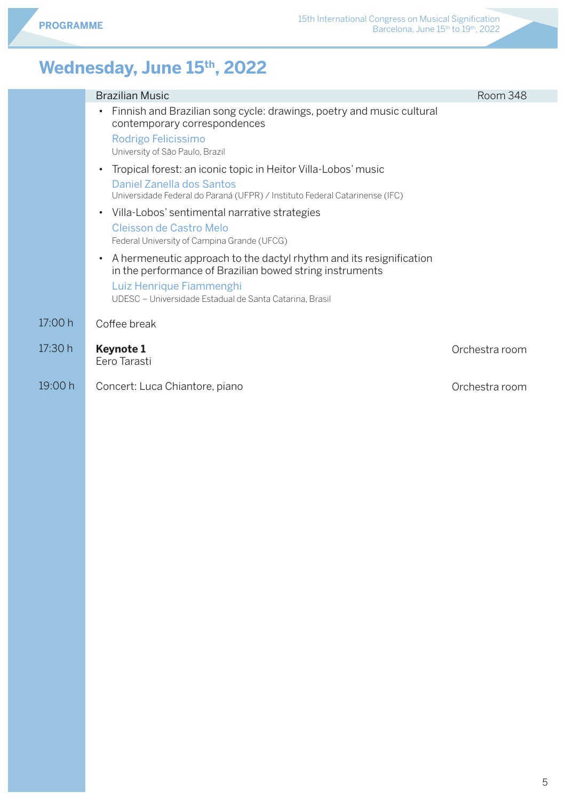### Wednesday, June 15<sup>th</sup>, 2022

|         | <b>Brazilian Music</b>                                                                                                                                                                                                              | Room 348       |
|---------|-------------------------------------------------------------------------------------------------------------------------------------------------------------------------------------------------------------------------------------|----------------|
|         | Finnish and Brazilian song cycle: drawings, poetry and music cultural<br>$\bullet$<br>contemporary correspondences                                                                                                                  |                |
|         | Rodrigo Felicissimo<br>University of São Paulo, Brazil                                                                                                                                                                              |                |
|         | Tropical forest: an iconic topic in Heitor Villa-Lobos' music<br>$\bullet$<br>Daniel Zanella dos Santos<br>Universidade Federal do Paraná (UFPR) / Instituto Federal Catarinense (IFC)                                              |                |
|         | • Villa-Lobos' sentimental narrative strategies<br>Cleisson de Castro Melo<br>Federal University of Campina Grande (UFCG)                                                                                                           |                |
|         | A hermeneutic approach to the dactyl rhythm and its resignification<br>$\bullet$<br>in the performance of Brazilian bowed string instruments<br>Luiz Henrique Fiammenghi<br>UDESC - Universidade Estadual de Santa Catarina, Brasil |                |
| 17:00 h | Coffee break                                                                                                                                                                                                                        |                |
| 17:30 h | <b>Keynote 1</b><br>Eero Tarasti                                                                                                                                                                                                    | Orchestra room |
| 19:00 h | Concert: Luca Chiantore, piano                                                                                                                                                                                                      | Orchestra room |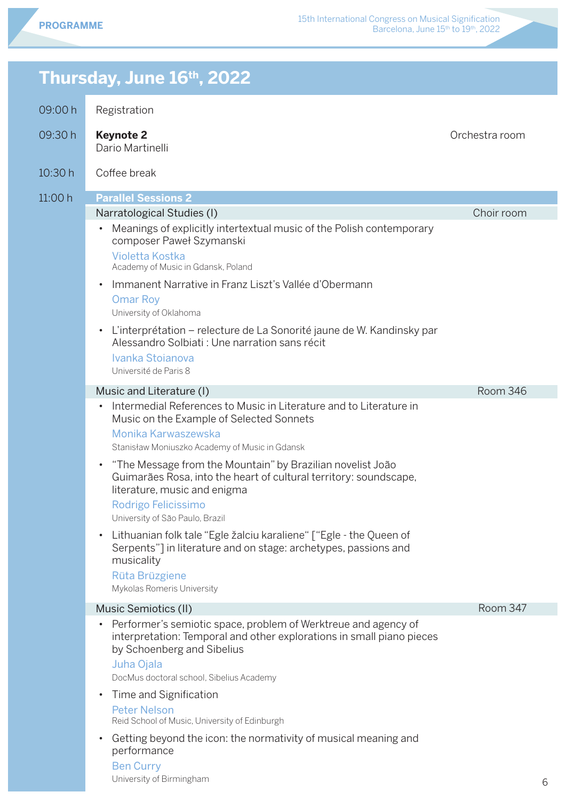### **Thursday, June 16th, 2022** 09:00 h 09:30 h 10:30 h  $11:00 h$ Registration **Keynote 2** Dario Martinelli Coffee break **Parallel Sessions 2** Narratological Studies (I) • Meanings of explicitly intertextual music of the Polish contemporary composer Paweł Szymanski Violetta Kostka Academy of Music in Gdansk, Poland • Immanent Narrative in Franz Liszt's Vallée d'Obermann Omar Roy University of Oklahoma • L'interprétation – relecture de La Sonorité jaune de W. Kandinsky par Alessandro Solbiati : Une narration sans récit Ivanka Stoianova Université de Paris 8 Music and Literature (I) • Intermedial References to Music in Literature and to Literature in Music on the Example of Selected Sonnets Monika Karwaszewska Stanisław Moniuszko Academy of Music in Gdansk • "The Message from the Mountain" by Brazilian novelist João Guimarães Rosa, into the heart of cultural territory: soundscape, literature, music and enigma Rodrigo Felicissimo University of São Paulo, Brazil • Lithuanian folk tale "Egle žalciu karaliene" ["Egle - the Queen of Serpents"] in literature and on stage: archetypes, passions and musicality Rüta Brüzgiene Mykolas Romeris University Music Semiotics (II) • Performer's semiotic space, problem of Werktreue and agency of interpretation: Temporal and other explorations in small piano pieces by Schoenberg and Sibelius Juha Ojala DocMus doctoral school, Sibelius Academy • Time and Signification Peter Nelson Reid School of Music, University of Edinburgh • Getting beyond the icon: the normativity of musical meaning and performance Ben Curry Orchestra room Choir room

University of Birmingham

Room 346

Room 347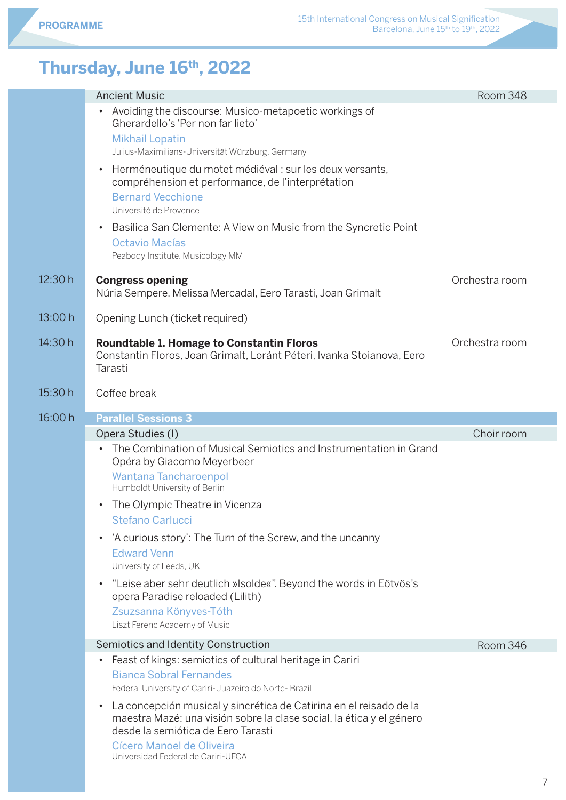### **Thursday, June 16th, 2022**

|         | <b>Ancient Music</b>                                                                                                                                                                                                                                                                                                                                                                                                                   | Room 348       |
|---------|----------------------------------------------------------------------------------------------------------------------------------------------------------------------------------------------------------------------------------------------------------------------------------------------------------------------------------------------------------------------------------------------------------------------------------------|----------------|
|         | Avoiding the discourse: Musico-metapoetic workings of<br>$\bullet$<br>Gherardello's 'Per non far lieto'<br><b>Mikhail Lopatin</b>                                                                                                                                                                                                                                                                                                      |                |
|         | Julius-Maximilians-Universität Würzburg, Germany                                                                                                                                                                                                                                                                                                                                                                                       |                |
|         | Herméneutique du motet médiéval : sur les deux versants,<br>$\bullet$<br>compréhension et performance, de l'interprétation<br><b>Bernard Vecchione</b><br>Université de Provence                                                                                                                                                                                                                                                       |                |
|         | Basilica San Clemente: A View on Music from the Syncretic Point<br>$\bullet$                                                                                                                                                                                                                                                                                                                                                           |                |
|         | Octavio Macías<br>Peabody Institute. Musicology MM                                                                                                                                                                                                                                                                                                                                                                                     |                |
| 12:30h  | <b>Congress opening</b><br>Núria Sempere, Melissa Mercadal, Eero Tarasti, Joan Grimalt                                                                                                                                                                                                                                                                                                                                                 | Orchestra room |
| 13:00 h | Opening Lunch (ticket required)                                                                                                                                                                                                                                                                                                                                                                                                        |                |
| 14:30 h | <b>Roundtable 1. Homage to Constantin Floros</b><br>Constantin Floros, Joan Grimalt, Loránt Péteri, Ivanka Stoianova, Eero<br>Tarasti                                                                                                                                                                                                                                                                                                  | Orchestra room |
| 15:30 h | Coffee break                                                                                                                                                                                                                                                                                                                                                                                                                           |                |
| 16:00 h | <b>Parallel Sessions 3</b>                                                                                                                                                                                                                                                                                                                                                                                                             |                |
|         |                                                                                                                                                                                                                                                                                                                                                                                                                                        |                |
|         | Opera Studies (I)                                                                                                                                                                                                                                                                                                                                                                                                                      | Choir room     |
|         | The Combination of Musical Semiotics and Instrumentation in Grand<br>$\bullet$<br>Opéra by Giacomo Meyerbeer<br>Wantana Tancharoenpol                                                                                                                                                                                                                                                                                                  |                |
|         | Humboldt University of Berlin<br>• The Olympic Theatre in Vicenza<br><b>Stefano Carlucci</b>                                                                                                                                                                                                                                                                                                                                           |                |
|         | 'A curious story': The Turn of the Screw, and the uncanny<br>$\bullet$<br><b>Edward Venn</b><br>University of Leeds, UK                                                                                                                                                                                                                                                                                                                |                |
|         | "Leise aber sehr deutlich »Isolde«". Beyond the words in Eötvös's<br>$\bullet$<br>opera Paradise reloaded (Lilith)<br>Zsuzsanna Könyves-Tóth<br>Liszt Ferenc Academy of Music                                                                                                                                                                                                                                                          |                |
|         | Semiotics and Identity Construction                                                                                                                                                                                                                                                                                                                                                                                                    | Room 346       |
|         | Feast of kings: semiotics of cultural heritage in Cariri<br>$\bullet$<br><b>Bianca Sobral Fernandes</b><br>Federal University of Cariri- Juazeiro do Norte- Brazil<br>La concepción musical y sincrética de Catirina en el reisado de la<br>$\bullet$<br>maestra Mazé: una visión sobre la clase social, la ética y el género<br>desde la semiótica de Eero Tarasti<br>Cícero Manoel de Oliveira<br>Universidad Federal de Cariri-UFCA |                |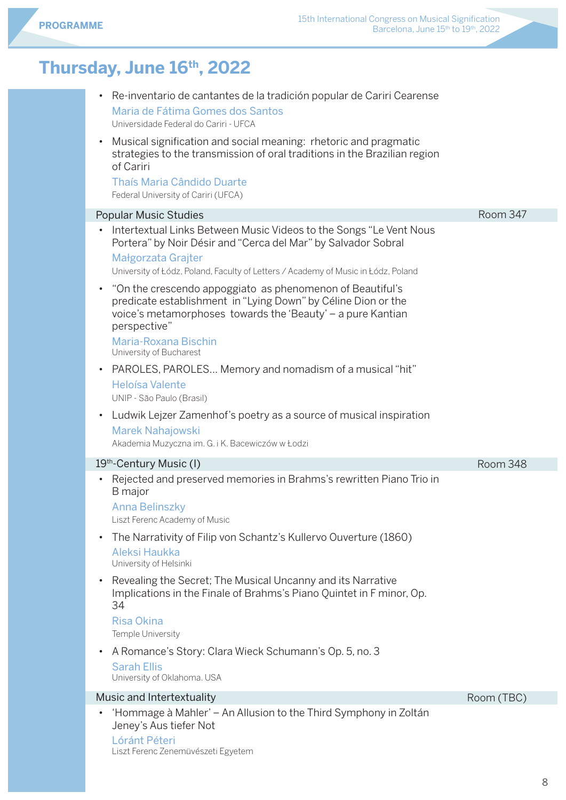### **Thursday, June 16th, 2022**

| Re-inventario de cantantes de la tradición popular de Cariri Cearense<br>Maria de Fátima Gomes dos Santos<br>Universidade Federal do Cariri - UFCA<br>Musical signification and social meaning: rhetoric and pragmatic<br>strategies to the transmission of oral traditions in the Brazilian region<br>of Cariri<br>Thaís Maria Cândido Duarte<br>Federal University of Cariri (UFCA)                                                                                                                                                                                                                                                                                                                                                                                                       |                 |
|---------------------------------------------------------------------------------------------------------------------------------------------------------------------------------------------------------------------------------------------------------------------------------------------------------------------------------------------------------------------------------------------------------------------------------------------------------------------------------------------------------------------------------------------------------------------------------------------------------------------------------------------------------------------------------------------------------------------------------------------------------------------------------------------|-----------------|
| <b>Popular Music Studies</b>                                                                                                                                                                                                                                                                                                                                                                                                                                                                                                                                                                                                                                                                                                                                                                | <b>Room 347</b> |
| Intertextual Links Between Music Videos to the Songs "Le Vent Nous<br>$\bullet$<br>Portera" by Noir Désir and "Cerca del Mar" by Salvador Sobral<br>Małgorzata Grajter<br>University of Łódz, Poland, Faculty of Letters / Academy of Music in Łódz, Poland<br>"On the crescendo appoggiato as phenomenon of Beautiful's<br>predicate establishment in "Lying Down" by Céline Dion or the<br>voice's metamorphoses towards the 'Beauty' - a pure Kantian<br>perspective"<br>Maria-Roxana Bischin<br>University of Bucharest<br>PAROLES, PAROLES Memory and nomadism of a musical "hit"<br>Heloísa Valente<br>UNIP - São Paulo (Brasil)<br>Ludwik Lejzer Zamenhof's poetry as a source of musical inspiration<br><b>Marek Nahajowski</b><br>Akademia Muzyczna im. G. i K. Bacewiczów w Łodzi |                 |
| 19th-Century Music (I)                                                                                                                                                                                                                                                                                                                                                                                                                                                                                                                                                                                                                                                                                                                                                                      | Room 348        |
| Rejected and preserved memories in Brahms's rewritten Piano Trio in<br><b>B</b> major<br><b>Anna Belinszky</b><br>Liszt Ferenc Academy of Music<br>The Narrativity of Filip von Schantz's Kullervo Ouverture (1860)<br>Aleksi Haukka<br>University of Helsinki<br>Revealing the Secret; The Musical Uncanny and its Narrative<br>Implications in the Finale of Brahms's Piano Quintet in F minor, Op.<br>34<br><b>Risa Okina</b><br>Temple University<br>A Romance's Story: Clara Wieck Schumann's Op. 5, no. 3<br><b>Sarah Ellis</b><br>University of Oklahoma. USA                                                                                                                                                                                                                        |                 |
| Music and Intertextuality                                                                                                                                                                                                                                                                                                                                                                                                                                                                                                                                                                                                                                                                                                                                                                   | Room (TBC)      |
| 'Hommage à Mahler' – An Allusion to the Third Symphony in Zoltán<br>Jeney's Aus tiefer Not                                                                                                                                                                                                                                                                                                                                                                                                                                                                                                                                                                                                                                                                                                  |                 |

Lóránt Péteri Liszt Ferenc Zenemüvészeti Egyetem  $\mathbb{R}^n$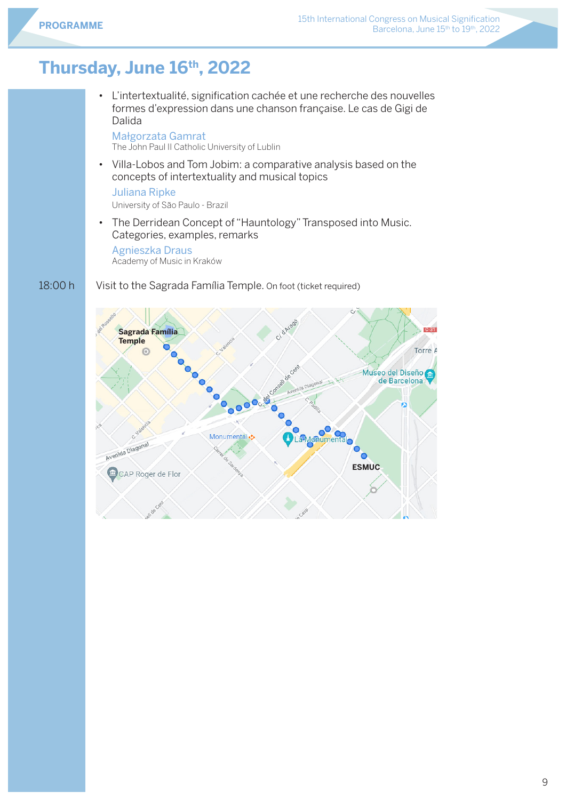### **Thursday, June 16th, 2022**

• L'intertextualité, signification cachée et une recherche des nouvelles formes d'expression dans une chanson française. Le cas de Gigi de Dalida

Małgorzata Gamrat The John Paul II Catholic University of Lublin

• Villa-Lobos and Tom Jobim: a comparative analysis based on the concepts of intertextuality and musical topics

Juliana Ripke

University of São Paulo - Brazil

• The Derridean Concept of "Hauntology" Transposed into Music. Categories, examples, remarks

Agnieszka Draus Academy of Music in Kraków

#### 18:00 h Visit to the Sagrada Família Temple. On foot (ticket required)

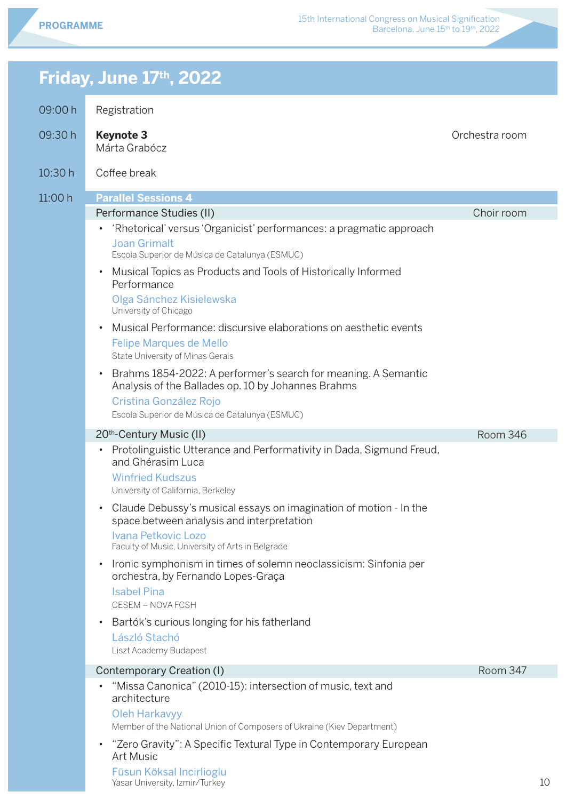Orchestra room

Choir room

Room 346

### **Friday, June 17th, 2022**

09:00 h **Registration** 

| 00.UU II | <b>INUXIJULIULI</b>                                                                                                                                         |
|----------|-------------------------------------------------------------------------------------------------------------------------------------------------------------|
| 09:30 h  | <b>Keynote 3</b><br>Márta Grabócz                                                                                                                           |
| 10:30h   | Coffee break                                                                                                                                                |
| 11:00h   | <b>Parallel Sessions 4</b>                                                                                                                                  |
|          | Performance Studies (II)                                                                                                                                    |
|          | 'Rhetorical' versus 'Organicist' performances: a pragmatic approach<br>$\bullet$<br><b>Joan Grimalt</b><br>Escola Superior de Música de Catalunya (ESMUC)   |
|          | Musical Topics as Products and Tools of Historically Informed<br>$\bullet$<br>Performance<br>Olga Sánchez Kisielewska<br>University of Chicago              |
|          | Musical Performance: discursive elaborations on aesthetic events<br>$\bullet$<br><b>Felipe Marques de Mello</b><br>State University of Minas Gerais         |
|          | Brahms 1854-2022: A performer's search for meaning. A Semantic<br>$\bullet$<br>Analysis of the Ballades op. 10 by Johannes Brahms<br>Cristina González Rojo |

Escola Superior de Música de Catalunya (ESMUC)

#### 20th-Century Music (II)

• Protolinguistic Utterance and Performativity in Dada, Sigmund Freud, and Ghérasim Luca

Winfried Kudszus University of California, Berkeley

- Claude Debussy's musical essays on imagination of motion In the space between analysis and interpretation Ivana Petkovic Lozo Faculty of Music, University of Arts in Belgrade
- Ironic symphonism in times of solemn neoclassicism: Sinfonia per orchestra, by Fernando Lopes-Graça Isabel Pina

CESEM – NOVA FCSH

#### • Bartók's curious longing for his fatherland

László Stachó Liszt Academy Budapest

#### Contemporary Creation (I)

• "Missa Canonica" (2010-15): intersection of music, text and architecture

Oleh Harkavyy

Member of the National Union of Composers of Ukraine (Kiev Department)

• "Zero Gravity": A Specific Textural Type in Contemporary European Art Music

Füsun Köksal Incirlioglu Yasar University, Izmir/Turkey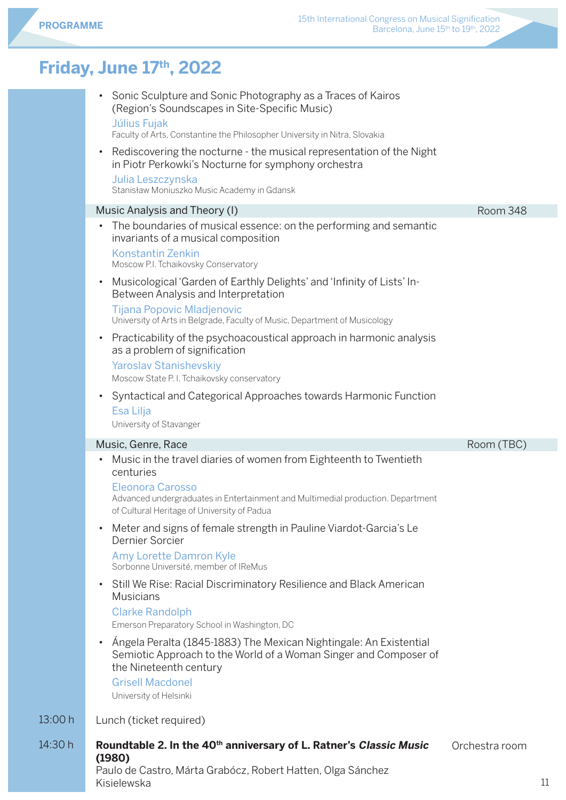### **Friday, June 17th, 2022**

| • Sonic Sculpture and Sonic Photography as a Traces of Kairos |
|---------------------------------------------------------------|
| (Region's Soundscapes in Site-Specific Music)                 |
| Július Fujak                                                  |

#### Faculty of Arts, Constantine the Philosopher University in Nitra, Slovakia

• Rediscovering the nocturne - the musical representation of the Night in Piotr Perkowki's Nocturne for symphony orchestra

### Julia Leszczynska

#### 13:00 h 14:30 h Stanisław Moniuszko Music Academy in Gdansk Music Analysis and Theory (I) • The boundaries of musical essence: on the performing and semantic invariants of a musical composition Konstantin Zenkin Moscow P.I. Tchaikovsky Conservatory • Musicological 'Garden of Earthly Delights' and 'Infinity of Lists' In-Between Analysis and Interpretation Tijana Popovic Mladjenovic University of Arts in Belgrade, Faculty of Music, Department of Musicology • Practicability of the psychoacoustical approach in harmonic analysis as a problem of signification Yaroslav Stanishevskiy Moscow State P. I. Tchaikovsky conservatory • Syntactical and Categorical Approaches towards Harmonic Function Esa Lilja University of Stavanger Music, Genre, Race • Music in the travel diaries of women from Eighteenth to Twentieth centuries Eleonora Carosso Advanced undergraduates in Entertainment and Multimedial production. Department of Cultural Heritage of University of Padua • Meter and signs of female strength in Pauline Viardot-Garcia's Le Dernier Sorcier Amy Lorette Damron Kyle Sorbonne Université, member of IReMus • Still We Rise: Racial Discriminatory Resilience and Black American **Musicians** Clarke Randolph Emerson Preparatory School in Washington, DC • Ángela Peralta (1845-1883) The Mexican Nightingale: An Existential Semiotic Approach to the World of a Woman Singer and Composer of the Nineteenth century Grisell Macdonel University of Helsinki Lunch (ticket required) **Roundtable 2. In the 40th anniversary of L. Ratner's Classic Music (1980)** Room 348 Room (TBC) Orchestra room

Paulo de Castro, Márta Grabócz, Robert Hatten, Olga Sánchez Kisielewska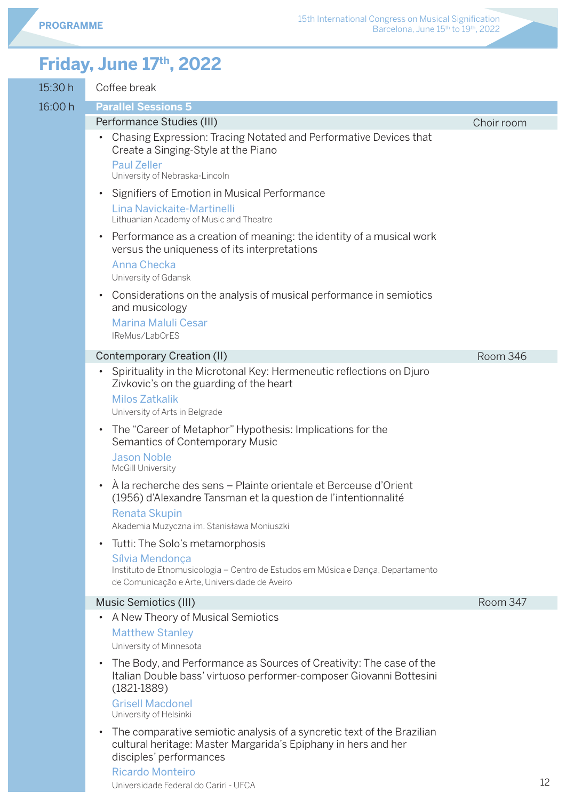### **Friday, June 17th, 2022**

| 15:30 h | Coffee break                                                                                                                                                                     |            |
|---------|----------------------------------------------------------------------------------------------------------------------------------------------------------------------------------|------------|
| 16:00 h | <b>Parallel Sessions 5</b>                                                                                                                                                       |            |
|         | Performance Studies (III)                                                                                                                                                        | Choir room |
|         | Chasing Expression: Tracing Notated and Performative Devices that<br>$\bullet$<br>Create a Singing-Style at the Piano                                                            |            |
|         | <b>Paul Zeller</b><br>University of Nebraska-Lincoln                                                                                                                             |            |
|         | Signifiers of Emotion in Musical Performance<br>$\bullet$                                                                                                                        |            |
|         | Lina Navickaite-Martinelli<br>Lithuanian Academy of Music and Theatre                                                                                                            |            |
|         | Performance as a creation of meaning: the identity of a musical work<br>$\bullet$<br>versus the uniqueness of its interpretations<br>Anna Checka<br>University of Gdansk         |            |
|         | Considerations on the analysis of musical performance in semiotics<br>$\bullet$<br>and musicology<br>Marina Maluli Cesar<br>IReMus/LabOrES                                       |            |
|         | Contemporary Creation (II)                                                                                                                                                       | Room 346   |
|         | Spirituality in the Microtonal Key: Hermeneutic reflections on Djuro<br>$\bullet$                                                                                                |            |
|         | Zivkovic's on the guarding of the heart<br><b>Milos Zatkalik</b><br>University of Arts in Belgrade                                                                               |            |
|         | The "Career of Metaphor" Hypothesis: Implications for the<br>$\bullet$<br>Semantics of Contemporary Music                                                                        |            |
|         | <b>Jason Noble</b><br>McGill University                                                                                                                                          |            |
|         | À la recherche des sens – Plainte orientale et Berceuse d'Orient<br>$\bullet$<br>(1956) d'Alexandre Tansman et la question de l'intentionnalité                                  |            |
|         | <b>Renata Skupin</b><br>Akademia Muzyczna im. Stanisława Moniuszki                                                                                                               |            |
|         | Tutti: The Solo's metamorphosis<br>$\bullet$                                                                                                                                     |            |
|         | Sílvia Mendonça<br>Instituto de Etnomusicologia - Centro de Estudos em Música e Dança, Departamento<br>de Comunicação e Arte, Universidade de Aveiro                             |            |
|         | Music Semiotics (III)                                                                                                                                                            | Room 347   |
|         | A New Theory of Musical Semiotics<br>$\bullet$                                                                                                                                   |            |
|         | <b>Matthew Stanley</b><br>University of Minnesota                                                                                                                                |            |
|         | The Body, and Performance as Sources of Creativity: The case of the<br>$\bullet$<br>Italian Double bass' virtuoso performer-composer Giovanni Bottesini<br>$(1821 - 1889)$       |            |
|         | <b>Grisell Macdonel</b><br>University of Helsinki                                                                                                                                |            |
|         | The comparative semiotic analysis of a syncretic text of the Brazilian<br>$\bullet$<br>cultural heritage: Master Margarida's Epiphany in hers and her<br>disciples' performances |            |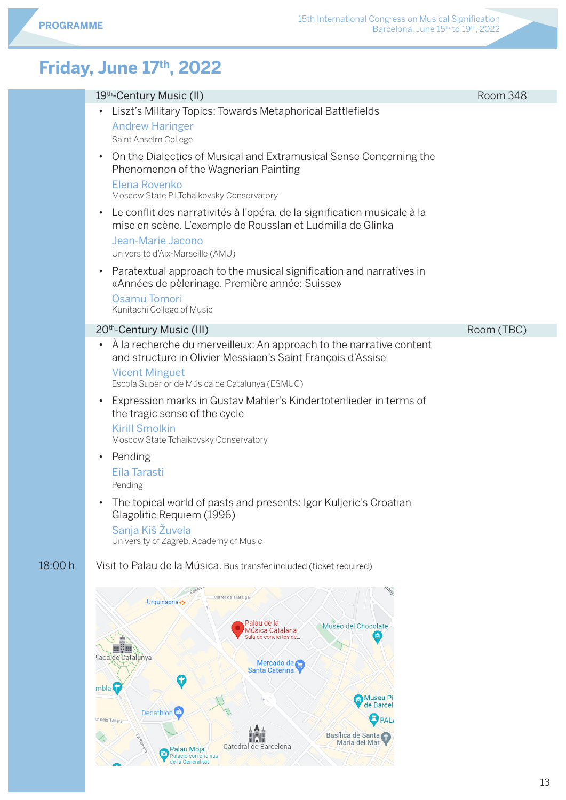### **Friday, June 17th, 2022**

Decathlon<sup>c</sup>

Palacio con oficinas

er dels Tallers

 $\overline{\wedge}$ 

Catedral de Barcelona

|         | 19th-Century Music (II)                                                                                                                                                                                                    | Room 348   |
|---------|----------------------------------------------------------------------------------------------------------------------------------------------------------------------------------------------------------------------------|------------|
|         | Liszt's Military Topics: Towards Metaphorical Battlefields<br>$\bullet$<br><b>Andrew Haringer</b><br>Saint Anselm College                                                                                                  |            |
|         | On the Dialectics of Musical and Extramusical Sense Concerning the<br>$\bullet$<br>Phenomenon of the Wagnerian Painting<br>Elena Rovenko                                                                                   |            |
|         | Moscow State P.I.Tchaikovsky Conservatory                                                                                                                                                                                  |            |
|         | • Le conflit des narrativités à l'opéra, de la signification musicale à la<br>mise en scène. L'exemple de Rousslan et Ludmilla de Glinka                                                                                   |            |
|         | Jean-Marie Jacono<br>Université d'Aix-Marseille (AMU)                                                                                                                                                                      |            |
|         | Paratextual approach to the musical signification and narratives in<br>$\bullet$<br>«Années de pèlerinage. Première année: Suisse»                                                                                         |            |
|         | Osamu Tomori<br>Kunitachi College of Music                                                                                                                                                                                 |            |
|         | 20th-Century Music (III)                                                                                                                                                                                                   | Room (TBC) |
|         | À la recherche du merveilleux: An approach to the narrative content<br>$\bullet$<br>and structure in Olivier Messiaen's Saint François d'Assise<br><b>Vicent Minguet</b><br>Escola Superior de Música de Catalunya (ESMUC) |            |
|         | Expression marks in Gustav Mahler's Kindertotenlieder in terms of<br>$\bullet$<br>the tragic sense of the cycle<br><b>Kirill Smolkin</b><br>Moscow State Tchaikovsky Conservatory                                          |            |
|         | Pending<br>$\bullet$<br>Eila Tarasti<br>Pending                                                                                                                                                                            |            |
|         | The topical world of pasts and presents: Igor Kuljeric's Croatian<br>Glagolitic Requiem (1996)<br>Sanja Kiš Žuvela<br>University of Zagreb, Academy of Music                                                               |            |
| 18:00 h | Visit to Palau de la Música. Bus transfer included (ticket required)                                                                                                                                                       |            |
|         | Carrer de Trafalga<br>Urquinaona<br><br>Palau de la<br>Museo del Chocolate<br>                                                                                                                                             |            |
|         | <b>Museu Pio</b><br>de Barcel                                                                                                                                                                                              |            |

**O**PALA

Basílica de Santa

T.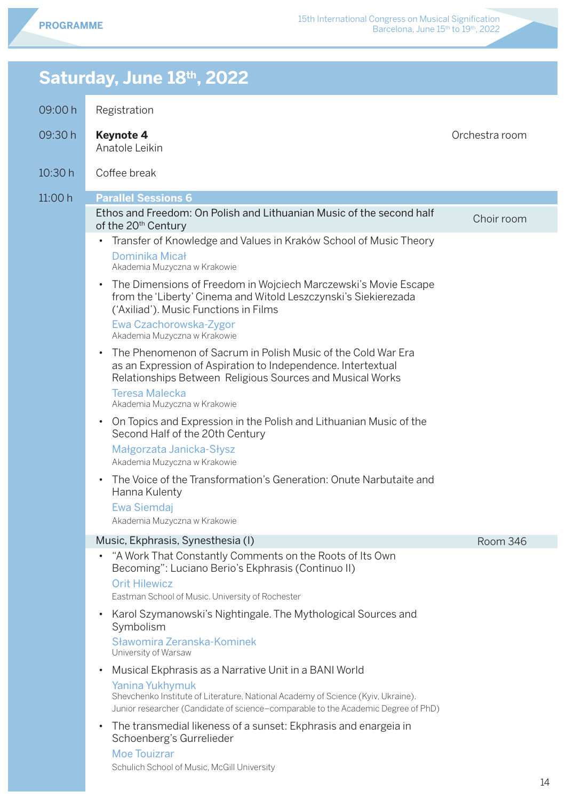### 09:00 h 09:30 h 10:30 h  $11:00 h$ Registration **Keynote 4** Anatole Leikin Coffee break **Parallel Sessions 6** Ethos and Freedom: On Polish and Lithuanian Music of the second half of the 20<sup>th</sup> Century • Transfer of Knowledge and Values in Kraków School of Music Theory Dominika Micał Akademia Muzyczna w Krakowie • The Dimensions of Freedom in Wojciech Marczewski's Movie Escape from the 'Liberty' Cinema and Witold Leszczynski's Siekierezada ('Axiliad'). Music Functions in Films Ewa Czachorowska-Zygor Akademia Muzyczna w Krakowie • The Phenomenon of Sacrum in Polish Music of the Cold War Era as an Expression of Aspiration to Independence. Intertextual Relationships Between Religious Sources and Musical Works Teresa Malecka Akademia Muzyczna w Krakowie • On Topics and Expression in the Polish and Lithuanian Music of the Second Half of the 20th Century Małgorzata Janicka-Słysz Akademia Muzyczna w Krakowie • The Voice of the Transformation's Generation: Onute Narbutaite and Hanna Kulenty Ewa Siemdaj Akademia Muzyczna w Krakowie Music, Ekphrasis, Synesthesia (I) • "A Work That Constantly Comments on the Roots of Its Own Becoming": Luciano Berio's Ekphrasis (Continuo II) Orit Hilewicz Eastman School of Music. University of Rochester • Karol Szymanowski's Nightingale. The Mythological Sources and Symbolism Sławomira Zeranska-Kominek University of Warsaw • Musical Ekphrasis as a Narrative Unit in a BANI World Yanina Yukhymuk Shevchenko Institute of Literature, National Academy of Science (Kyiv, Ukraine). Junior researcher (Candidate of science–comparable to the Academic Degree of PhD) • The transmedial likeness of a sunset: Ekphrasis and enargeia in Schoenberg's Gurrelieder Moe Touizrar Schulich School of Music, McGill University Orchestra room Choir room

Room 346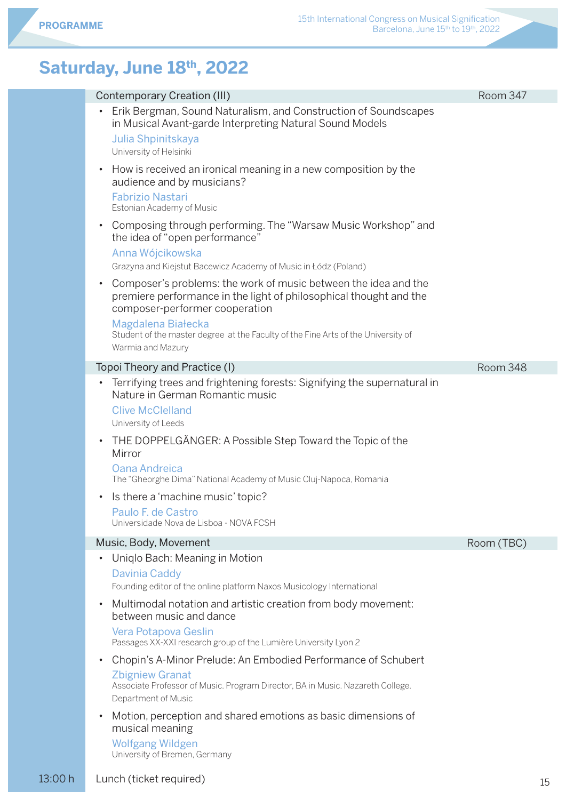| Contemporary Creation (III)                                                                                                                                                              | Room 347   |
|------------------------------------------------------------------------------------------------------------------------------------------------------------------------------------------|------------|
| Erik Bergman, Sound Naturalism, and Construction of Soundscapes<br>$\bullet$<br>in Musical Avant-garde Interpreting Natural Sound Models<br>Julia Shpinitskaya<br>University of Helsinki |            |
| How is received an ironical meaning in a new composition by the<br>$\bullet$<br>audience and by musicians?<br><b>Fabrizio Nastari</b><br>Estonian Academy of Music                       |            |
| Composing through performing. The "Warsaw Music Workshop" and<br>$\bullet$<br>the idea of "open performance"<br>Anna Wójcikowska                                                         |            |
| Grazyna and Kiejstut Bacewicz Academy of Music in Łódz (Poland)                                                                                                                          |            |
| Composer's problems: the work of music between the idea and the<br>$\bullet$<br>premiere performance in the light of philosophical thought and the<br>composer-performer cooperation     |            |
| Magdalena Białecka<br>Student of the master degree at the Faculty of the Fine Arts of the University of<br>Warmia and Mazury                                                             |            |
| Topoi Theory and Practice (I)                                                                                                                                                            | Room 348   |
| Terrifying trees and frightening forests: Signifying the supernatural in<br>$\bullet$<br>Nature in German Romantic music                                                                 |            |
| <b>Clive McClelland</b>                                                                                                                                                                  |            |
| University of Leeds                                                                                                                                                                      |            |
| THE DOPPELGÄNGER: A Possible Step Toward the Topic of the<br>$\bullet$<br>Mirror                                                                                                         |            |
| Oana Andreica<br>The "Gheorghe Dima" National Academy of Music Cluj-Napoca, Romania                                                                                                      |            |
| Is there a 'machine music' topic?                                                                                                                                                        |            |
| Paulo F. de Castro<br>Universidade Nova de Lisboa - NOVA FCSH                                                                                                                            |            |
| Music, Body, Movement                                                                                                                                                                    | Room (TBC) |
| Uniqlo Bach: Meaning in Motion                                                                                                                                                           |            |
| <b>Davinia Caddy</b><br>Founding editor of the online platform Naxos Musicology International                                                                                            |            |
| Multimodal notation and artistic creation from body movement:<br>$\bullet$<br>between music and dance                                                                                    |            |
| Vera Potapova Geslin<br>Passages XX-XXI research group of the Lumière University Lyon 2                                                                                                  |            |
| Chopin's A-Minor Prelude: An Embodied Performance of Schubert<br>$\bullet$                                                                                                               |            |
| <b>Zbigniew Granat</b><br>Associate Professor of Music. Program Director, BA in Music. Nazareth College.<br>Department of Music                                                          |            |
| Motion, perception and shared emotions as basic dimensions of<br>$\bullet$<br>musical meaning                                                                                            |            |
| <b>Wolfgang Wildgen</b><br>University of Bremen, Germany                                                                                                                                 |            |
|                                                                                                                                                                                          |            |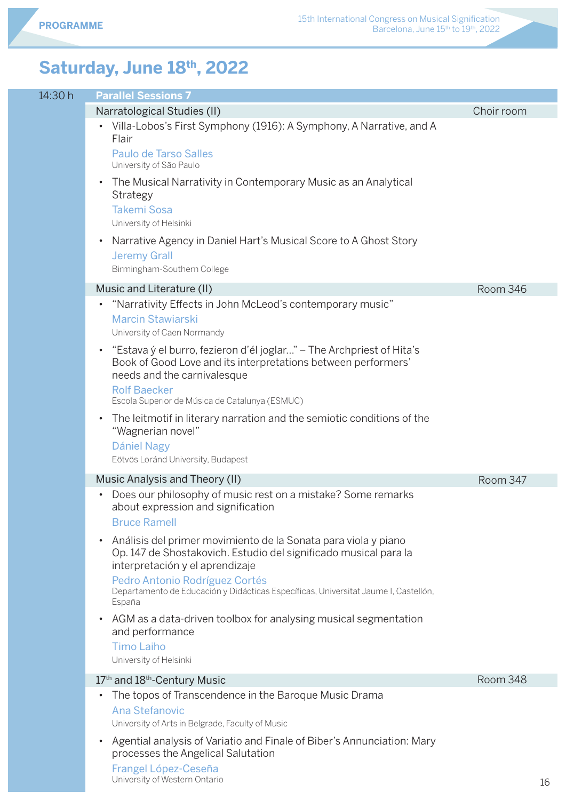| 14:30 h | <b>Parallel Sessions 7</b>                                                                                                                                                         |            |
|---------|------------------------------------------------------------------------------------------------------------------------------------------------------------------------------------|------------|
|         | Narratological Studies (II)                                                                                                                                                        | Choir room |
|         | Villa-Lobos's First Symphony (1916): A Symphony, A Narrative, and A<br>Flair                                                                                                       |            |
|         | Paulo de Tarso Salles<br>University of São Paulo                                                                                                                                   |            |
|         | The Musical Narrativity in Contemporary Music as an Analytical<br>$\bullet$<br>Strategy<br><b>Takemi Sosa</b><br>University of Helsinki                                            |            |
|         | Narrative Agency in Daniel Hart's Musical Score to A Ghost Story<br>$\bullet$<br><b>Jeremy Grall</b><br>Birmingham-Southern College                                                |            |
|         | Music and Literature (II)                                                                                                                                                          | Room 346   |
|         | "Narrativity Effects in John McLeod's contemporary music"<br>Marcin Stawiarski<br>University of Caen Normandy                                                                      |            |
|         | "Estava ý el burro, fezieron d'él joglar" – The Archpriest of Hita's<br>$\bullet$<br>Book of Good Love and its interpretations between performers'<br>needs and the carnivalesque  |            |
|         | <b>Rolf Baecker</b><br>Escola Superior de Música de Catalunya (ESMUC)                                                                                                              |            |
|         | The leitmotif in literary narration and the semiotic conditions of the<br>$\bullet$<br>"Wagnerian novel"                                                                           |            |
|         | Dániel Nagy<br>Eötvös Loránd University, Budapest                                                                                                                                  |            |
|         | Music Analysis and Theory (II)                                                                                                                                                     | Room 347   |
|         | Does our philosophy of music rest on a mistake? Some remarks<br>about expression and signification<br><b>Bruce Ramell</b>                                                          |            |
|         | Análisis del primer movimiento de la Sonata para viola y piano<br>$\bullet$<br>Op. 147 de Shostakovich. Estudio del significado musical para la<br>interpretación y el aprendizaje |            |
|         | Pedro Antonio Rodríguez Cortés<br>Departamento de Educación y Didácticas Específicas, Universitat Jaume I, Castellón,<br>España                                                    |            |
|         | AGM as a data-driven toolbox for analysing musical segmentation<br>$\bullet$<br>and performance<br><b>Timo Laiho</b><br>University of Helsinki                                     |            |
|         | 17 <sup>th</sup> and 18 <sup>th</sup> -Century Music                                                                                                                               | Room 348   |
|         | The topos of Transcendence in the Baroque Music Drama<br>$\bullet$<br>Ana Stefanovic<br>University of Arts in Belgrade, Faculty of Music                                           |            |
|         | Agential analysis of Variatio and Finale of Biber's Annunciation: Mary<br>processes the Angelical Salutation<br>Frangel López-Ceseña                                               |            |

University of Western Ontario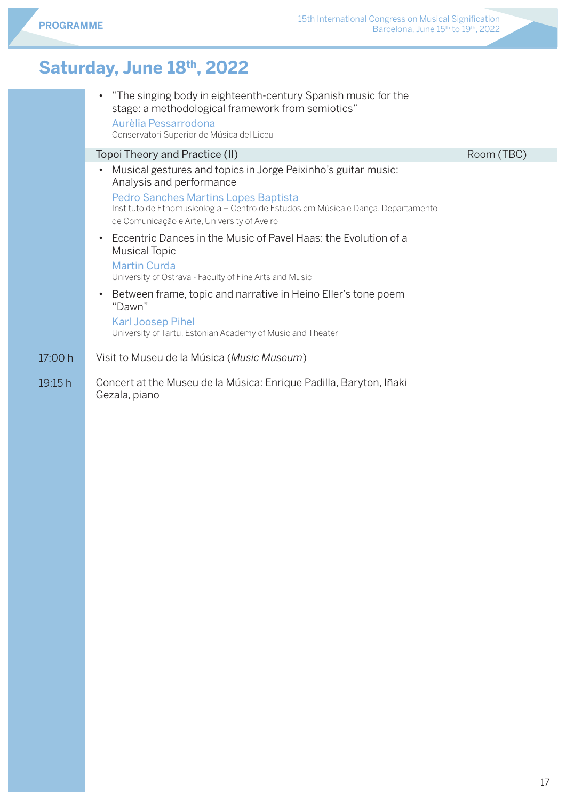|         | "The singing body in eighteenth-century Spanish music for the<br>$\bullet$<br>stage: a methodological framework from semiotics"<br>Aurèlia Pessarrodona<br>Conservatori Superior de Música del Liceu |      |
|---------|------------------------------------------------------------------------------------------------------------------------------------------------------------------------------------------------------|------|
|         | Topoi Theory and Practice (II)                                                                                                                                                                       | Room |
|         | Musical gestures and topics in Jorge Peixinho's guitar music:<br>$\bullet$<br>Analysis and performance                                                                                               |      |
|         | <b>Pedro Sanches Martins Lopes Baptista</b><br>Instituto de Etnomusicologia - Centro de Estudos em Música e Dança, Departamento<br>de Comunicação e Arte, University of Aveiro                       |      |
|         | Eccentric Dances in the Music of Pavel Haas: the Evolution of a<br>$\bullet$<br><b>Musical Topic</b>                                                                                                 |      |
|         | <b>Martin Curda</b><br>University of Ostrava - Faculty of Fine Arts and Music                                                                                                                        |      |
|         | Between frame, topic and narrative in Heino Eller's tone poem<br>$\bullet$<br>"Dawn"                                                                                                                 |      |
|         | <b>Karl Joosep Pihel</b><br>University of Tartu, Estonian Academy of Music and Theater                                                                                                               |      |
| 17:00 h | Visit to Museu de la Música (Music Museum)                                                                                                                                                           |      |
| 19.15h  | Concert at the Museu de la Música: Enrique Padilla. Baryton. Iñaki                                                                                                                                   |      |

 $19:15$ Concert at the Museu de la Música: Enrique Padilla, Baryton, Iñaki Gezala, piano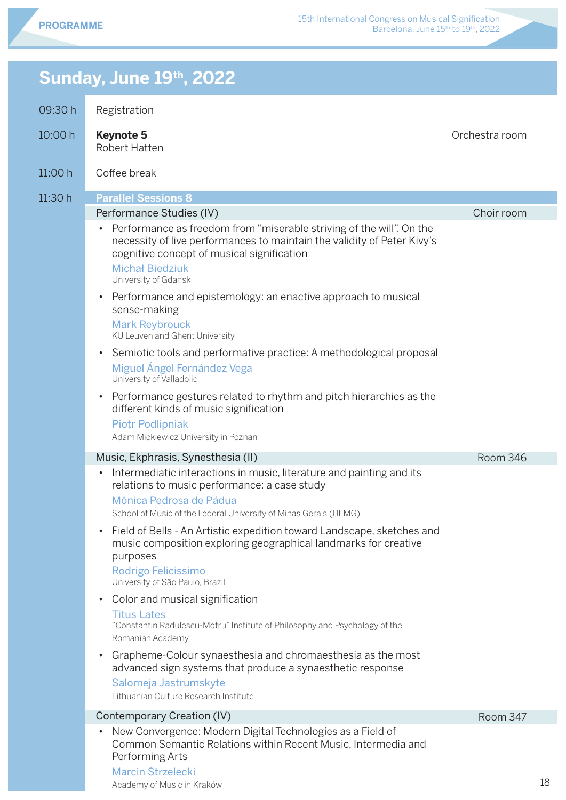Orchestra room

18

### **Sunday, June 19th, 2022**

| 10:00h | <b>Keynote 5</b> |  |
|--------|------------------|--|
|        |                  |  |

Robert Hatten

Academy of Music in Kraków

|  | 11:00 h | Coffee break |
|--|---------|--------------|
|--|---------|--------------|

| 11:30 h | <b>Parallel Sessions 8</b>                                                                                                                                                                                 |            |
|---------|------------------------------------------------------------------------------------------------------------------------------------------------------------------------------------------------------------|------------|
|         | Performance Studies (IV)                                                                                                                                                                                   | Choir room |
|         | Performance as freedom from "miserable striving of the will". On the<br>$\bullet$<br>necessity of live performances to maintain the validity of Peter Kivy's<br>cognitive concept of musical signification |            |
|         | <b>Michał Biedziuk</b><br>University of Gdansk                                                                                                                                                             |            |
|         | Performance and epistemology: an enactive approach to musical<br>$\bullet$<br>sense-making                                                                                                                 |            |
|         | <b>Mark Reybrouck</b><br>KU Leuven and Ghent University                                                                                                                                                    |            |
|         | Semiotic tools and performative practice: A methodological proposal<br>$\bullet$<br>Miguel Ángel Fernández Vega<br>University of Valladolid                                                                |            |
|         | Performance gestures related to rhythm and pitch hierarchies as the<br>$\bullet$<br>different kinds of music signification<br><b>Piotr Podlipniak</b>                                                      |            |
|         | Adam Mickiewicz University in Poznan                                                                                                                                                                       |            |
|         | Music, Ekphrasis, Synesthesia (II)                                                                                                                                                                         | Room 346   |
|         | Intermediatic interactions in music, literature and painting and its<br>$\bullet$<br>relations to music performance: a case study<br>Mônica Pedrosa de Pádua                                               |            |
|         | School of Music of the Federal University of Minas Gerais (UFMG)                                                                                                                                           |            |
|         | Field of Bells - An Artistic expedition toward Landscape, sketches and<br>$\bullet$<br>music composition exploring geographical landmarks for creative<br>purposes                                         |            |
|         | Rodrigo Felicissimo<br>University of São Paulo, Brazil                                                                                                                                                     |            |
|         | Color and musical signification<br>$\bullet$                                                                                                                                                               |            |
|         | <b>Titus Lates</b><br>"Constantin Radulescu-Motru" Institute of Philosophy and Psychology of the<br>Romanian Academy                                                                                       |            |
|         | Grapheme-Colour synaesthesia and chromaesthesia as the most<br>$\bullet$<br>advanced sign systems that produce a synaesthetic response                                                                     |            |
|         | Salomeja Jastrumskyte<br>Lithuanian Culture Research Institute                                                                                                                                             |            |
|         | Contemporary Creation (IV)                                                                                                                                                                                 | Room 347   |
|         | New Convergence: Modern Digital Technologies as a Field of<br>Common Semantic Relations within Recent Music, Intermedia and<br>Performing Arts<br><b>Marcin Strzelecki</b>                                 |            |
|         |                                                                                                                                                                                                            |            |